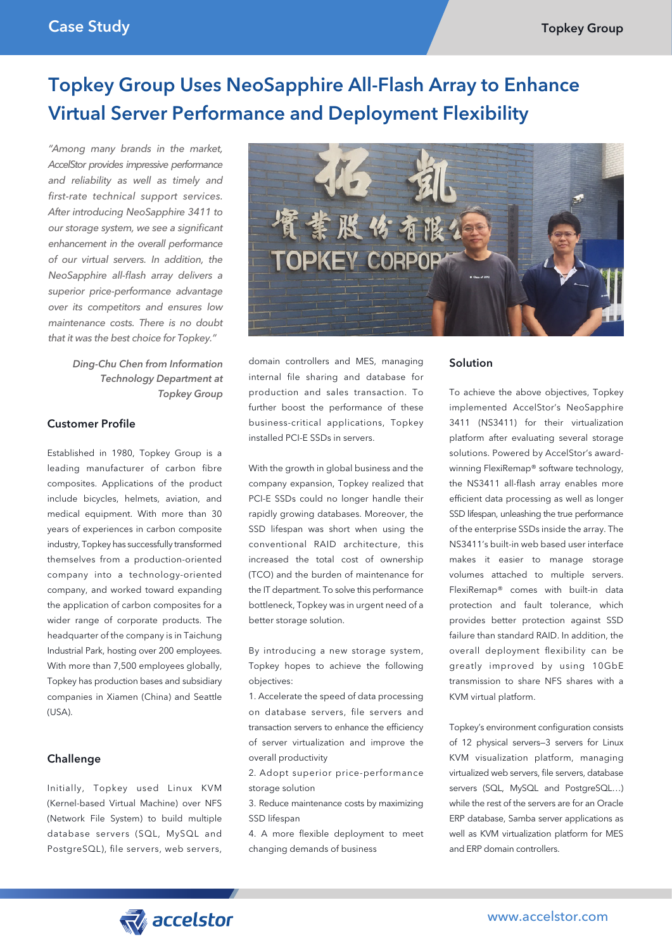# Topkey Group Uses NeoSapphire All-Flash Array to Enhance Virtual Server Performance and Deployment Flexibility

*"Among many brands in the market, AccelStor provides impressive performance and reliability as well as timely and first-rate technical support services. After introducing NeoSapphire 3411 to our storage system, we see a significant enhancement in the overall performance of our virtual servers. In addition, the NeoSapphire all-flash array delivers a superior price-performance advantage over its competitors and ensures low maintenance costs. There is no doubt that it was the best choice for Topkey."*

> *Ding-Chu Chen from Information Technology Department at Topkey Group*

### Customer Profile

Established in 1980, Topkey Group is a leading manufacturer of carbon fibre composites. Applications of the product include bicycles, helmets, aviation, and medical equipment. With more than 30 years of experiences in carbon composite industry, Topkey has successfully transformed themselves from a production-oriented company into a technology-oriented company, and worked toward expanding the application of carbon composites for a wider range of corporate products. The headquarter of the company is in Taichung Industrial Park, hosting over 200 employees. With more than 7,500 employees globally, Topkey has production bases and subsidiary companies in Xiamen (China) and Seattle (USA).

# Challenge

Initially, Topkey used Linux KVM (Kernel-based Virtual Machine) over NFS (Network File System) to build multiple database servers (SQL, MySQL and PostgreSQL), file servers, web servers,



domain controllers and MES, managing internal file sharing and database for production and sales transaction. To further boost the performance of these business-critical applications, Topkey installed PCI-E SSDs in servers.

With the growth in global business and the company expansion, Topkey realized that PCI-E SSDs could no longer handle their rapidly growing databases. Moreover, the SSD lifespan was short when using the conventional RAID architecture, this increased the total cost of ownership (TCO) and the burden of maintenance for the IT department. To solve this performance bottleneck, Topkey was in urgent need of a better storage solution.

By introducing a new storage system, Topkey hopes to achieve the following objectives:

1. Accelerate the speed of data processing on database servers, file servers and transaction servers to enhance the efficiency of server virtualization and improve the overall productivity

2. Adopt superior price-performance storage solution

3. Reduce maintenance costs by maximizing SSD lifespan

4. A more flexible deployment to meet changing demands of business

#### Solution

To achieve the above objectives, Topkey implemented AccelStor's NeoSapphire 3411 (NS3411) for their virtualization platform after evaluating several storage solutions. Powered by AccelStor's awardwinning FlexiRemap® software technology, the NS3411 all-flash array enables more efficient data processing as well as longer SSD lifespan, unleashing the true performance of the enterprise SSDs inside the array. The NS3411's built-in web based user interface makes it easier to manage storage volumes attached to multiple servers. FlexiRemap® comes with built-in data protection and fault tolerance, which provides better protection against SSD failure than standard RAID. In addition, the overall deployment flexibility can be greatly improved by using 10GbE transmission to share NFS shares with a KVM virtual platform.

Topkey's environment configuration consists of 12 physical servers—3 servers for Linux KVM visualization platform, managing virtualized web servers, file servers, database servers (SQL, MySQL and PostgreSQL...) while the rest of the servers are for an Oracle ERP database, Samba server applications as well as KVM virtualization platform for MES and ERP domain controllers.